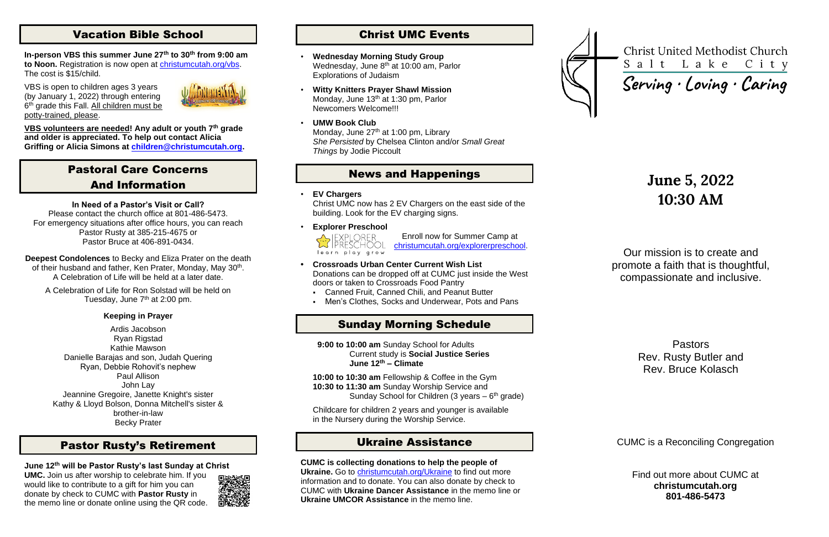# Vacation Bible School

**In-person VBS this summer June 27th to 30th from 9:00 am to Noon.** Registration is now open at [christumcutah.org/vbs.](http://www.christumcutah.org/vbs) The cost is \$15/child.

VBS is open to children ages 3 years (by January 1, 2022) through entering 6<sup>th</sup> grade this Fall. All children must be potty-trained, please.



**VBS volunteers are needed! Any adult or youth 7th grade and older is appreciated. To help out contact Alicia Griffing or Alicia Simons at [children@christumcutah.org.](mailto:children@christumcutah.org)**

A Celebration of Life for Ron Solstad will be held on Tuesday, June 7<sup>th</sup> at 2:00 pm.

# Pastoral Care Concerns And Information

#### **In Need of a Pastor's Visit or Call?**

Please contact the church office at 801-486-5473. For emergency situations after office hours, you can reach Pastor Rusty at 385-215-4675 or Pastor Bruce at 406-891-0434.

**Deepest Condolences** to Becky and Eliza Prater on the death of their husband and father, Ken Prater, Monday, May 30<sup>th</sup>. A Celebration of Life will be held at a later date.

#### **Keeping in Prayer**

Ardis Jacobson Ryan Rigstad Kathie Mawson Danielle Barajas and son, Judah Quering Ryan, Debbie Rohovit's nephew Paul Allison John Lay Jeannine Gregoire, Janette Knight's sister Kathy & Lloyd Bolson, Donna Mitchell's sister & brother-in-law Becky Prater

**10:00 to 10:30 am** Fellowship & Coffee in the Gym **10:30 to 11:30 am** Sunday Worship Service and Sunday School for Children (3 years  $-6$ <sup>th</sup> grade)

# Pastor Rusty's Retirement

## **June 12th will be Pastor Rusty's last Sunday at Christ**

**UMC.** Join us after worship to celebrate him. If you would like to contribute to a gift for him you can donate by check to CUMC with **Pastor Rusty** in the memo line or donate online using the QR code.



# Christ UMC Events

- **Wednesday Morning Study Group** Wednesday, June 8<sup>th</sup> at 10:00 am, Parlor Explorations of Judaism
- **Witty Knitters Prayer Shawl Mission** Monday, June 13<sup>th</sup> at 1:30 pm, Parlor Newcomers Welcome!!!
- **UMW Book Club** Monday, June 27<sup>th</sup> at 1:00 pm, Library *She Persisted* by Chelsea Clinton and/or *Small Great Things* by Jodie Piccoult

## News and Happenings

• **EV Chargers**

Christ UMC now has 2 EV Chargers on the east side of the building. Look for the EV charging signs.

• **Explorer Preschool**



Enroll now for Summer Camp at [christumcutah.org/explorerpreschool.](file://///CUMC-DC01/data/CUMCData/CommonFolder/Bulletins/2022%20Bulletins/01%20January/christumcutah.org/discoveryplacepreschool)

- **• Crossroads Urban Center Current Wish List** Donations can be dropped off at CUMC just inside the West doors or taken to Crossroads Food Pantry
	- Canned Fruit, Canned Chili, and Peanut Butter
	- Men's Clothes, Socks and Underwear, Pots and Pans

# Sunday Morning Schedule

 **9:00 to 10:00 am** Sunday School for Adults Current study is **Social Justice Series June 12th – Climate**

Childcare for children 2 years and younger is available in the Nursery during the Worship Service.

# Ukraine Assistance

**CUMC is collecting donations to help the people of** 

**Ukraine.** Go to [christumcutah.org/Ukraine](http://www.christumcutah.org/Ukraine) to find out more information and to donate. You can also donate by check to CUMC with **Ukraine Dancer Assistance** in the memo line or **Ukraine UMCOR Assistance** in the memo line.



**Christ United Methodist Church** Salt Lake City

# Serving · Loving · Caring

# **June 5, 2022 10:30 AM**

Our mission is to create and promote a faith that is thoughtful, compassionate and inclusive.

> Pastors Rev. Rusty Butler and Rev. Bruce Kolasch

CUMC is a Reconciling Congregation

Find out more about CUMC at **christumcutah.org 801-486-5473**